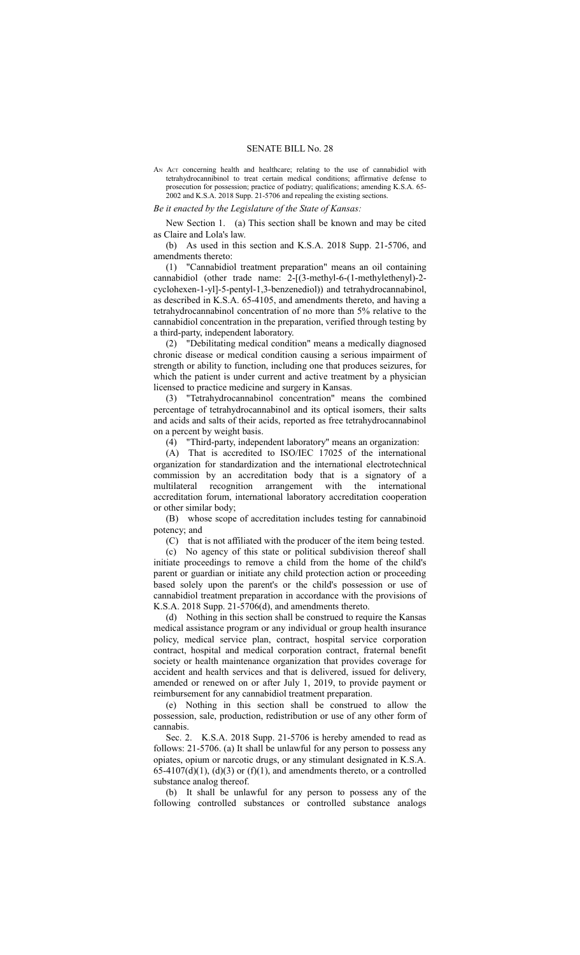## SENATE BILL No. 28

AN ACT concerning health and healthcare; relating to the use of cannabidiol with tetrahydrocannibinol to treat certain medical conditions; affirmative defense to prosecution for possession; practice of podiatry; qualifications; amending K.S.A. 65- 2002 and K.S.A. 2018 Supp. 21-5706 and repealing the existing sections.

## *Be it enacted by the Legislature of the State of Kansas:*

New Section 1. (a) This section shall be known and may be cited as Claire and Lola's law.

(b) As used in this section and K.S.A. 2018 Supp. 21-5706, and amendments thereto:

(1) "Cannabidiol treatment preparation" means an oil containing cannabidiol (other trade name: 2-[(3-methyl-6-(1-methylethenyl)-2 cyclohexen-1-yl]-5-pentyl-1,3-benzenediol)) and tetrahydrocannabinol, as described in K.S.A. 65-4105, and amendments thereto, and having a tetrahydrocannabinol concentration of no more than 5% relative to the cannabidiol concentration in the preparation, verified through testing by a third-party, independent laboratory.

(2) "Debilitating medical condition" means a medically diagnosed chronic disease or medical condition causing a serious impairment of strength or ability to function, including one that produces seizures, for which the patient is under current and active treatment by a physician licensed to practice medicine and surgery in Kansas.

(3) "Tetrahydrocannabinol concentration" means the combined percentage of tetrahydrocannabinol and its optical isomers, their salts and acids and salts of their acids, reported as free tetrahydrocannabinol on a percent by weight basis.

(4) "Third-party, independent laboratory" means an organization:

(A) That is accredited to ISO/IEC 17025 of the international organization for standardization and the international electrotechnical commission by an accreditation body that is a signatory of a multilateral recognition arrangement with the international accreditation forum, international laboratory accreditation cooperation or other similar body;

(B) whose scope of accreditation includes testing for cannabinoid potency; and

(C) that is not affiliated with the producer of the item being tested.

(c) No agency of this state or political subdivision thereof shall initiate proceedings to remove a child from the home of the child's parent or guardian or initiate any child protection action or proceeding based solely upon the parent's or the child's possession or use of cannabidiol treatment preparation in accordance with the provisions of K.S.A. 2018 Supp. 21-5706(d), and amendments thereto.

(d) Nothing in this section shall be construed to require the Kansas medical assistance program or any individual or group health insurance policy, medical service plan, contract, hospital service corporation contract, hospital and medical corporation contract, fraternal benefit society or health maintenance organization that provides coverage for accident and health services and that is delivered, issued for delivery, amended or renewed on or after July 1, 2019, to provide payment or reimbursement for any cannabidiol treatment preparation.

(e) Nothing in this section shall be construed to allow the possession, sale, production, redistribution or use of any other form of cannabis.

Sec. 2. K.S.A. 2018 Supp. 21-5706 is hereby amended to read as follows: 21-5706. (a) It shall be unlawful for any person to possess any opiates, opium or narcotic drugs, or any stimulant designated in K.S.A. 65-4107(d)(1), (d)(3) or (f)(1), and amendments thereto, or a controlled substance analog thereof.

(b) It shall be unlawful for any person to possess any of the following controlled substances or controlled substance analogs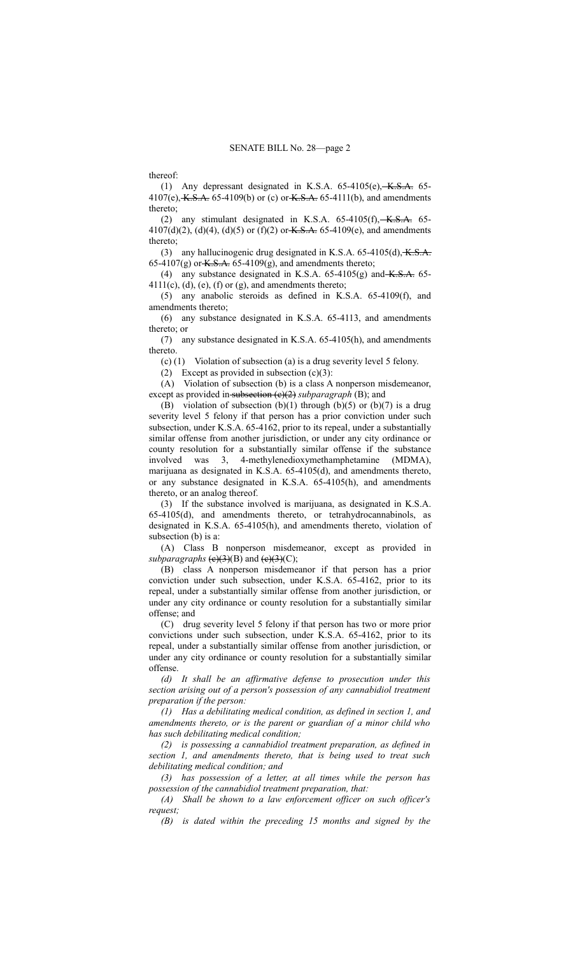thereof:

(1) Any depressant designated in K.S.A.  $65-4105(e)$ ,  $K.S.A.$   $65-4105(e)$ 4107(e), K.S.A. 65-4109(b) or (c) or K.S.A. 65-4111(b), and amendments thereto;

(2) any stimulant designated in K.S.A.  $65-4105(f)$ ,  $K.S.A.$   $65-4105(f)$ 4107(d)(2), (d)(4), (d)(5) or (f)(2) or <del>K.S.A.</del> 65-4109(e), and amendments thereto;

(3) any hallucinogenic drug designated in K.S.A.  $65-4105(d)$ , K.S.A. 65-4107(g) or  $K.S.A.$  65-4109(g), and amendments thereto;

(4) any substance designated in K.S.A.  $65-4105(g)$  and  $K.S.A.$   $65 4111(c)$ , (d), (e), (f) or (g), and amendments thereto;

(5) any anabolic steroids as defined in K.S.A. 65-4109(f), and amendments thereto;

(6) any substance designated in K.S.A. 65-4113, and amendments thereto; or

(7) any substance designated in K.S.A. 65-4105(h), and amendments thereto.

(c) (1) Violation of subsection (a) is a drug severity level 5 felony.

(2) Except as provided in subsection  $(c)(3)$ :

(A) Violation of subsection (b) is a class A nonperson misdemeanor, except as provided in subsection (c)(2) *subparagraph* (B); and

(B) violation of subsection (b)(1) through (b)(5) or (b)(7) is a drug severity level 5 felony if that person has a prior conviction under such subsection, under K.S.A. 65-4162, prior to its repeal, under a substantially similar offense from another jurisdiction, or under any city ordinance or county resolution for a substantially similar offense if the substance involved was 3, 4-methylenedioxymethamphetamine (MDMA), marijuana as designated in K.S.A. 65-4105(d), and amendments thereto, or any substance designated in K.S.A. 65-4105(h), and amendments thereto, or an analog thereof.

(3) If the substance involved is marijuana, as designated in K.S.A. 65-4105(d), and amendments thereto, or tetrahydrocannabinols, as designated in K.S.A. 65-4105(h), and amendments thereto, violation of subsection (b) is a:

(A) Class B nonperson misdemeanor, except as provided in *subparagraphs*  $(e)(3)(B)$  and  $(e)(3)(C)$ ;

(B) class A nonperson misdemeanor if that person has a prior conviction under such subsection, under K.S.A. 65-4162, prior to its repeal, under a substantially similar offense from another jurisdiction, or under any city ordinance or county resolution for a substantially similar offense; and

(C) drug severity level 5 felony if that person has two or more prior convictions under such subsection, under K.S.A. 65-4162, prior to its repeal, under a substantially similar offense from another jurisdiction, or under any city ordinance or county resolution for a substantially similar offense.

*(d) It shall be an affirmative defense to prosecution under this section arising out of a person's possession of any cannabidiol treatment preparation if the person:*

*(1) Has a debilitating medical condition, as defined in section 1, and amendments thereto, or is the parent or guardian of a minor child who has such debilitating medical condition;*

*(2) is possessing a cannabidiol treatment preparation, as defined in section 1, and amendments thereto, that is being used to treat such debilitating medical condition; and*

*(3) has possession of a letter, at all times while the person has possession of the cannabidiol treatment preparation, that:*

*(A) Shall be shown to a law enforcement officer on such officer's request;*

*(B) is dated within the preceding 15 months and signed by the*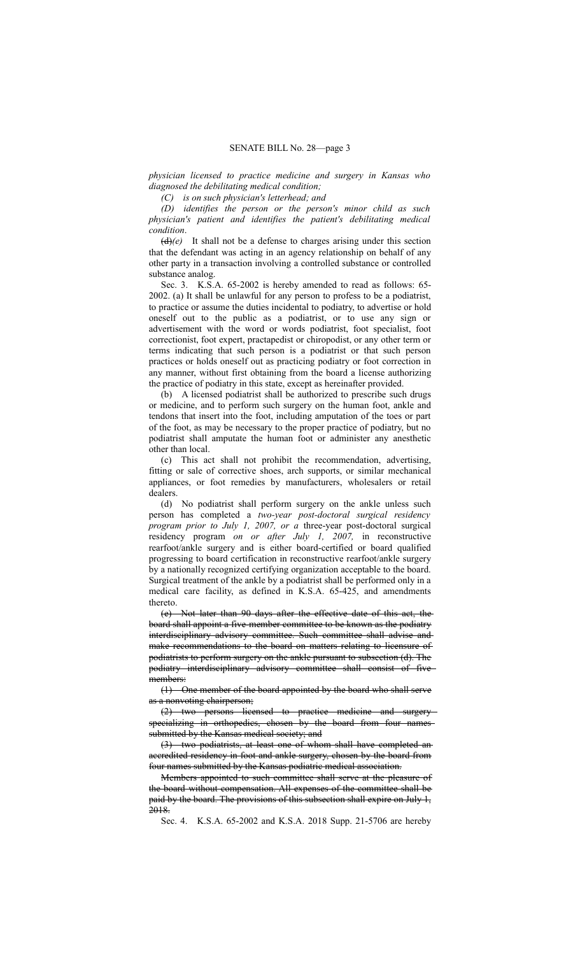*physician licensed to practice medicine and surgery in Kansas who diagnosed the debilitating medical condition;*

*(C) is on such physician's letterhead; and*

*(D) identifies the person or the person's minor child as such physician's patient and identifies the patient's debilitating medical condition*.

 $(d)(e)$  It shall not be a defense to charges arising under this section that the defendant was acting in an agency relationship on behalf of any other party in a transaction involving a controlled substance or controlled substance analog.

Sec. 3. K.S.A. 65-2002 is hereby amended to read as follows: 65- 2002. (a) It shall be unlawful for any person to profess to be a podiatrist, to practice or assume the duties incidental to podiatry, to advertise or hold oneself out to the public as a podiatrist, or to use any sign or advertisement with the word or words podiatrist, foot specialist, foot correctionist, foot expert, practapedist or chiropodist, or any other term or terms indicating that such person is a podiatrist or that such person practices or holds oneself out as practicing podiatry or foot correction in any manner, without first obtaining from the board a license authorizing the practice of podiatry in this state, except as hereinafter provided.

(b) A licensed podiatrist shall be authorized to prescribe such drugs or medicine, and to perform such surgery on the human foot, ankle and tendons that insert into the foot, including amputation of the toes or part of the foot, as may be necessary to the proper practice of podiatry, but no podiatrist shall amputate the human foot or administer any anesthetic other than local.

(c) This act shall not prohibit the recommendation, advertising, fitting or sale of corrective shoes, arch supports, or similar mechanical appliances, or foot remedies by manufacturers, wholesalers or retail dealers.

(d) No podiatrist shall perform surgery on the ankle unless such person has completed a *two-year post-doctoral surgical residency program prior to July 1, 2007, or a* three-year post-doctoral surgical residency program *on or after July 1, 2007,* in reconstructive rearfoot/ankle surgery and is either board-certified or board qualified progressing to board certification in reconstructive rearfoot/ankle surgery by a nationally recognized certifying organization acceptable to the board. Surgical treatment of the ankle by a podiatrist shall be performed only in a medical care facility, as defined in K.S.A. 65-425, and amendments thereto.

(e) Not later than 90 days after the effective date of this act, the board shall appoint a five-member committee to be known as the podiatry interdisciplinary advisory committee. Such committee shall advise and make recommendations to the board on matters relating to licensure of podiatrists to perform surgery on the ankle pursuant to subsection (d). The podiatry interdisciplinary advisory committee shall consist of five members:

(1) One member of the board appointed by the board who shall serve as a nonvoting chairperson;

(2) two persons licensed to practice medicine and surgery specializing in orthopedies, chosen by the board from four names submitted by the Kansas medical society; and

(3) two podiatrists, at least one of whom shall have completed an accredited residency in foot and ankle surgery, chosen by the board from four names submitted by the Kansas podiatric medical association.

Members appointed to such committee shall serve at the pleasure of the board without compensation. All expenses of the committee shall be paid by the board. The provisions of this subsection shall expire on July 1, 2018.

Sec. 4. K.S.A. 65-2002 and K.S.A. 2018 Supp. 21-5706 are hereby